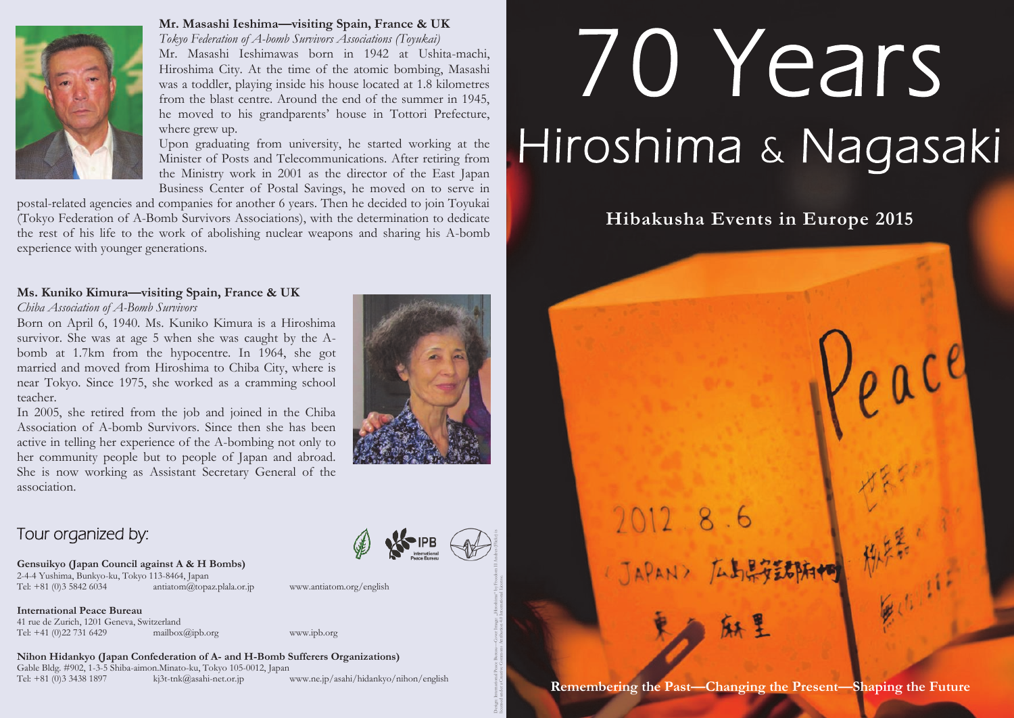

#### **Mr. Masashi Ieshima—visiting Spain, France & UK**

*Tokyo Federation of A-bomb Survivors Associations (Toyukai)* Mr. Masashi Ieshimawas born in 1942 at Ushita-machi, Hiroshima City. At the time of the atomic bombing, Masashi was a toddler, playing inside his house located at 1.8 kilometres from the blast centre. Around the end of the summer in 1945, he moved to his grandparents' house in Tottori Prefecture, where grew up.

Upon graduating from university, he started working at the Minister of Posts and Telecommunications. After retiring from the Ministry work in 2001 as the director of the East Japan Business Center of Postal Savings, he moved on to serve in

postal-related agencies and companies for another 6 years. Then he decided to join Toyukai (Tokyo Federation of A-Bomb Survivors Associations), with the determination to dedicate the rest of his life to the work of abolishing nuclear weapons and sharing his A-bomb experience with younger generations.

#### **Ms. Kuniko Kimura—visiting Spain, France & UK**

#### *Chiba Association of A-Bomb Survivors*

Born on April 6, 1940. Ms. Kuniko Kimura is a Hiroshima survivor. She was at age 5 when she was caught by the Abomb at 1.7km from the hypocentre. In 1964, she got married and moved from Hiroshima to Chiba City, where is near Tokyo. Since 1975, she worked as a cramming school teacher.

In 2005, she retired from the job and joined in the Chiba Association of A-bomb Survivors. Since then she has been active in telling her experience of the A-bombing not only to her community people but to people of Japan and abroad. She is now working as Assistant Secretary General of the association.

# Tour organized by:

**Gensuikyo (Japan Council against A & H Bombs)** 2-4-4 Yushima, Bunkyo-ku, Tokyo 113-8464, Japan  $antiatom@topaz.$ plala.or.jp www.antiatom.org/english

**International Peace Bureau** 41 rue de Zurich, 1201 Geneva, Switzerland<br>Tel: +41 (0)22 731 6429 mailbox@ipb.org Tel: +41 (0)22 731 6429 mailbox@ipb.org www.ipb.org

**Nihon Hidankyo (Japan Confederation of A- and H-Bomb Sufferers Organizations)** Gable Bldg. #902, 1-3-5 Shiba-aimon.Minato-ku, Tokyo 105-0012, Japan Tel: +81 (0)3 3438 1897 kj3t-tnk@asahi-net.or.jp www.ne.jp/asahi/hidankyo/nihon/english



Design: International Peace Bureau—Cover Image: "Hiroshima" by Freedom II Andres (Flickr) is licensed under a Creative Commons Attribution 4.0 International License.

# 70 Years Hiroshima & Nagasaki

# **Hibakusha Events in Europe 2015**

2012.8.6 JAPAN> 広島県安全部府村

**Remembering the Past—Changing the Present—Shaping the Future**